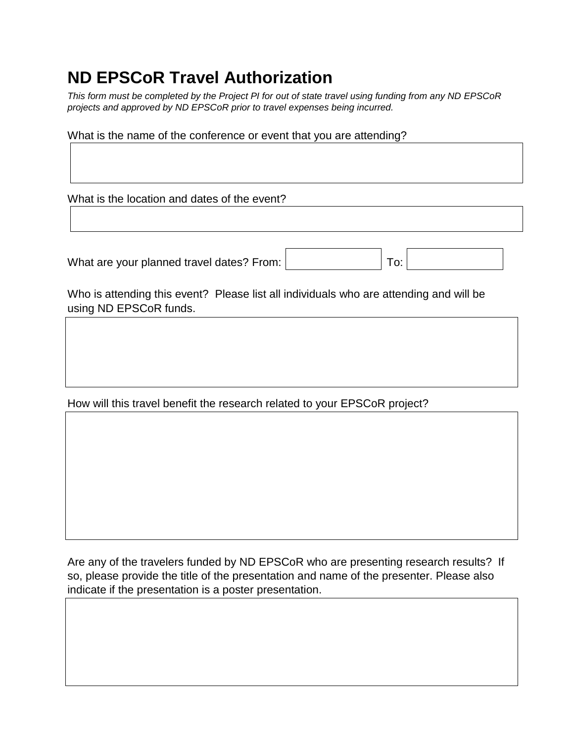## **ND EPSCoR Travel Authorization**

*This form must be completed by the Project PI for out of state travel using funding from any ND EPSCoR projects and approved by ND EPSCoR prior to travel expenses being incurred.* 

What is the name of the conference or event that you are attending?

What is the location and dates of the event?

What are your planned travel dates? From:

|  | To: |  |  |  |
|--|-----|--|--|--|
|--|-----|--|--|--|

Who is attending this event? Please list all individuals who are attending and will be using ND EPSCoR funds.

How will this travel benefit the research related to your EPSCoR project?

Are any of the travelers funded by ND EPSCoR who are presenting research results? If so, please provide the title of the presentation and name of the presenter. Please also indicate if the presentation is a poster presentation.